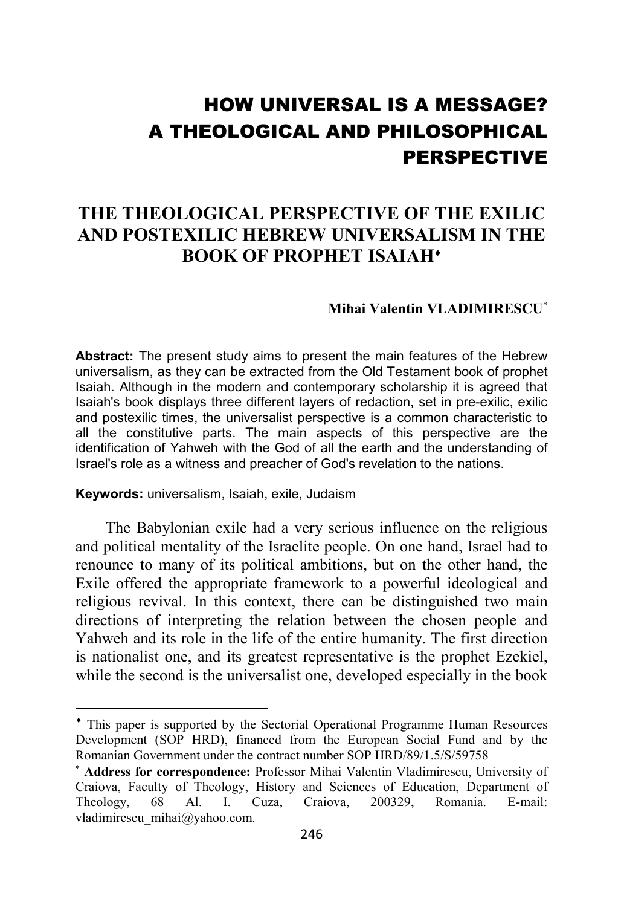# HOW UNIVERSAL IS A MESSAGE? A THEOLOGICAL AND PHILOSOPHICAL PERSPECTIVE

## **THE THEOLOGICAL PERSPECTIVE OF THE EXILIC AND POSTEXILIC HEBREW UNIVERSALISM IN THE BOOK OF PROPHET ISAIAH**<sup>•</sup>

### **Mihai Valentin VLADIMIRESCU**<sup>∗</sup>

**Abstract:** The present study aims to present the main features of the Hebrew universalism, as they can be extracted from the Old Testament book of prophet Isaiah. Although in the modern and contemporary scholarship it is agreed that Isaiah's book displays three different layers of redaction, set in pre-exilic, exilic and postexilic times, the universalist perspective is a common characteristic to all the constitutive parts. The main aspects of this perspective are the identification of Yahweh with the God of all the earth and the understanding of Israel's role as a witness and preacher of God's revelation to the nations.

**Keywords:** universalism, Isaiah, exile, Judaism

l

The Babylonian exile had a very serious influence on the religious and political mentality of the Israelite people. On one hand, Israel had to renounce to many of its political ambitions, but on the other hand, the Exile offered the appropriate framework to a powerful ideological and religious revival. In this context, there can be distinguished two main directions of interpreting the relation between the chosen people and Yahweh and its role in the life of the entire humanity. The first direction is nationalist one, and its greatest representative is the prophet Ezekiel, while the second is the universalist one, developed especially in the book

<sup>♦</sup> This paper is supported by the Sectorial Operational Programme Human Resources Development (SOP HRD), financed from the European Social Fund and by the Romanian Government under the contract number SOP HRD/89/1.5/S/59758

<sup>∗</sup> **Address for correspondence:** Professor Mihai Valentin Vladimirescu, University of Craiova, Faculty of Theology, History and Sciences of Education, Department of Theology, 68 Al. I. Cuza, Craiova, 200329, Romania. E-mail: vladimirescu\_mihai@yahoo.com.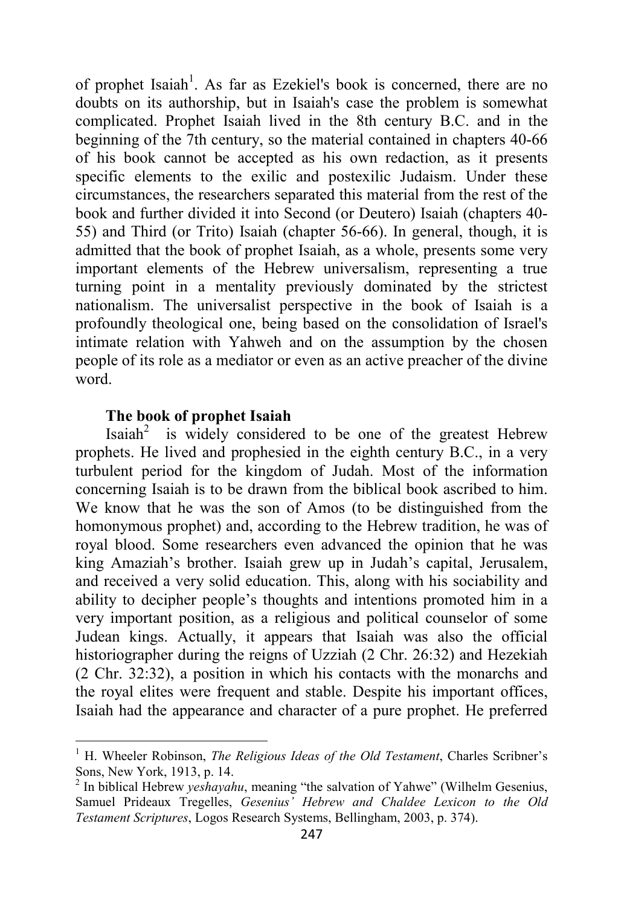of prophet Isaiah<sup>1</sup>. As far as Ezekiel's book is concerned, there are no doubts on its authorship, but in Isaiah's case the problem is somewhat complicated. Prophet Isaiah lived in the 8th century B.C. and in the beginning of the 7th century, so the material contained in chapters 40-66 of his book cannot be accepted as his own redaction, as it presents specific elements to the exilic and postexilic Judaism. Under these circumstances, the researchers separated this material from the rest of the book and further divided it into Second (or Deutero) Isaiah (chapters 40- 55) and Third (or Trito) Isaiah (chapter 56-66). In general, though, it is admitted that the book of prophet Isaiah, as a whole, presents some very important elements of the Hebrew universalism, representing a true turning point in a mentality previously dominated by the strictest nationalism. The universalist perspective in the book of Isaiah is a profoundly theological one, being based on the consolidation of Israel's intimate relation with Yahweh and on the assumption by the chosen people of its role as a mediator or even as an active preacher of the divine word.

#### **The book of prophet Isaiah**

Isaiah<sup>2</sup> is widely considered to be one of the greatest Hebrew prophets. He lived and prophesied in the eighth century B.C., in a very turbulent period for the kingdom of Judah. Most of the information concerning Isaiah is to be drawn from the biblical book ascribed to him. We know that he was the son of Amos (to be distinguished from the homonymous prophet) and, according to the Hebrew tradition, he was of royal blood. Some researchers even advanced the opinion that he was king Amaziah's brother. Isaiah grew up in Judah's capital, Jerusalem, and received a very solid education. This, along with his sociability and ability to decipher people's thoughts and intentions promoted him in a very important position, as a religious and political counselor of some Judean kings. Actually, it appears that Isaiah was also the official historiographer during the reigns of Uzziah (2 Chr. 26:32) and Hezekiah (2 Chr. 32:32), a position in which his contacts with the monarchs and the royal elites were frequent and stable. Despite his important offices, Isaiah had the appearance and character of a pure prophet. He preferred

 1 H. Wheeler Robinson, *The Religious Ideas of the Old Testament*, Charles Scribner's Sons, New York, 1913, p. 14.

<sup>&</sup>lt;sup>2</sup> In biblical Hebrew *yeshayahu*, meaning "the salvation of Yahwe" (Wilhelm Gesenius, Samuel Prideaux Tregelles, *Gesenius' Hebrew and Chaldee Lexicon to the Old Testament Scriptures*, Logos Research Systems, Bellingham, 2003, p. 374).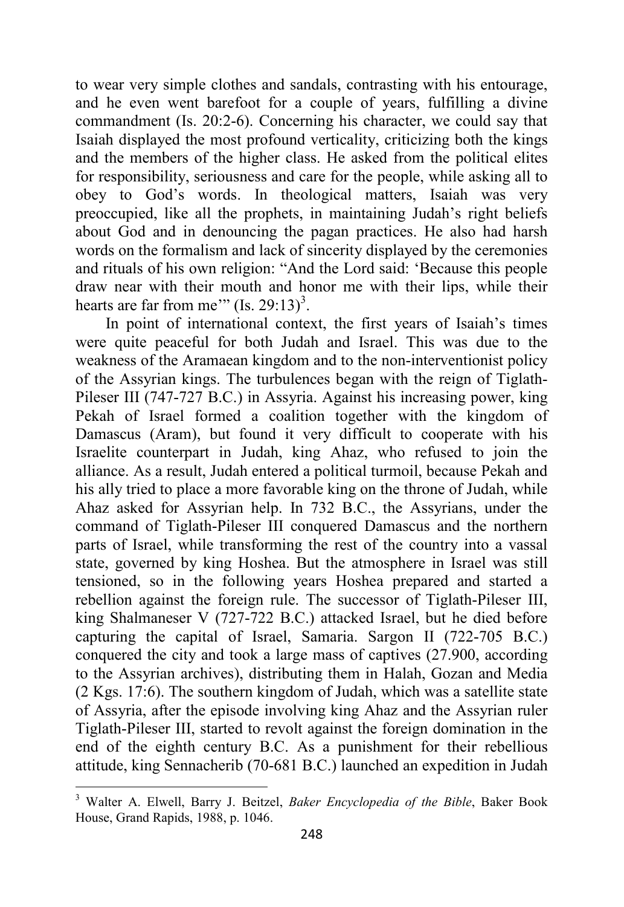to wear very simple clothes and sandals, contrasting with his entourage, and he even went barefoot for a couple of years, fulfilling a divine commandment (Is. 20:2-6). Concerning his character, we could say that Isaiah displayed the most profound verticality, criticizing both the kings and the members of the higher class. He asked from the political elites for responsibility, seriousness and care for the people, while asking all to obey to God's words. In theological matters, Isaiah was very preoccupied, like all the prophets, in maintaining Judah's right beliefs about God and in denouncing the pagan practices. He also had harsh words on the formalism and lack of sincerity displayed by the ceremonies and rituals of his own religion: "And the Lord said: 'Because this people draw near with their mouth and honor me with their lips, while their hearts are far from me'" (Is. 29:13)<sup>3</sup>.

In point of international context, the first years of Isaiah's times were quite peaceful for both Judah and Israel. This was due to the weakness of the Aramaean kingdom and to the non-interventionist policy of the Assyrian kings. The turbulences began with the reign of Tiglath-Pileser III (747-727 B.C.) in Assyria. Against his increasing power, king Pekah of Israel formed a coalition together with the kingdom of Damascus (Aram), but found it very difficult to cooperate with his Israelite counterpart in Judah, king Ahaz, who refused to join the alliance. As a result, Judah entered a political turmoil, because Pekah and his ally tried to place a more favorable king on the throne of Judah, while Ahaz asked for Assyrian help. In 732 B.C., the Assyrians, under the command of Tiglath-Pileser III conquered Damascus and the northern parts of Israel, while transforming the rest of the country into a vassal state, governed by king Hoshea. But the atmosphere in Israel was still tensioned, so in the following years Hoshea prepared and started a rebellion against the foreign rule. The successor of Tiglath-Pileser III, king Shalmaneser V (727-722 B.C.) attacked Israel, but he died before capturing the capital of Israel, Samaria. Sargon II (722-705 B.C.) conquered the city and took a large mass of captives (27.900, according to the Assyrian archives), distributing them in Halah, Gozan and Media (2 Kgs. 17:6). The southern kingdom of Judah, which was a satellite state of Assyria, after the episode involving king Ahaz and the Assyrian ruler Tiglath-Pileser III, started to revolt against the foreign domination in the end of the eighth century B.C. As a punishment for their rebellious attitude, king Sennacherib (70-681 B.C.) launched an expedition in Judah

<sup>3</sup> Walter A. Elwell, Barry J. Beitzel, *Baker Encyclopedia of the Bible*, Baker Book House, Grand Rapids, 1988, p. 1046.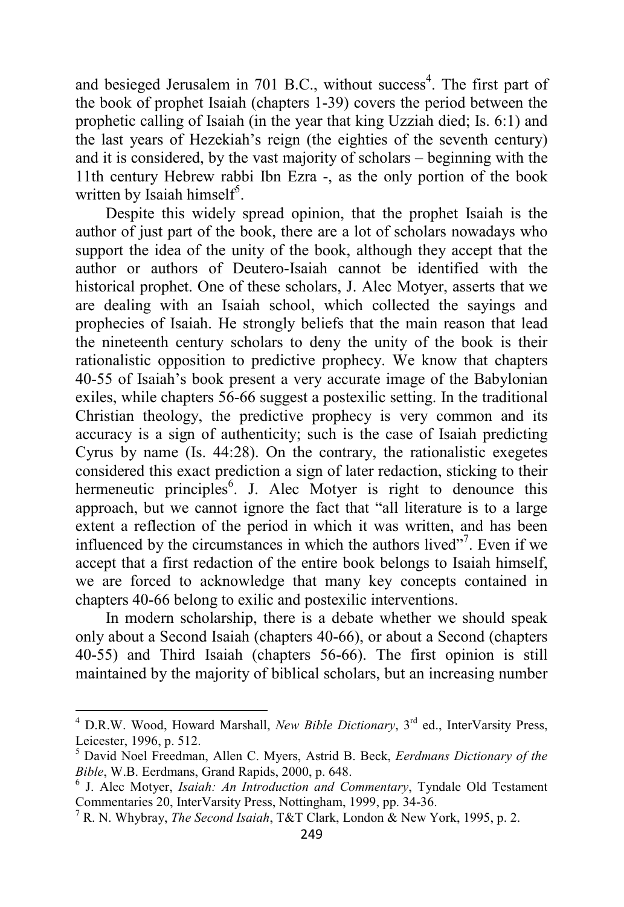and besieged Jerusalem in 701 B.C., without success<sup>4</sup>. The first part of the book of prophet Isaiah (chapters 1-39) covers the period between the prophetic calling of Isaiah (in the year that king Uzziah died; Is. 6:1) and the last years of Hezekiah's reign (the eighties of the seventh century) and it is considered, by the vast majority of scholars – beginning with the 11th century Hebrew rabbi Ibn Ezra -, as the only portion of the book written by Isaiah himself<sup>5</sup>.

Despite this widely spread opinion, that the prophet Isaiah is the author of just part of the book, there are a lot of scholars nowadays who support the idea of the unity of the book, although they accept that the author or authors of Deutero-Isaiah cannot be identified with the historical prophet. One of these scholars, J. Alec Motyer, asserts that we are dealing with an Isaiah school, which collected the sayings and prophecies of Isaiah. He strongly beliefs that the main reason that lead the nineteenth century scholars to deny the unity of the book is their rationalistic opposition to predictive prophecy. We know that chapters 40-55 of Isaiah's book present a very accurate image of the Babylonian exiles, while chapters 56-66 suggest a postexilic setting. In the traditional Christian theology, the predictive prophecy is very common and its accuracy is a sign of authenticity; such is the case of Isaiah predicting Cyrus by name (Is. 44:28). On the contrary, the rationalistic exegetes considered this exact prediction a sign of later redaction, sticking to their hermeneutic principles<sup>6</sup>. J. Alec Motyer is right to denounce this approach, but we cannot ignore the fact that "all literature is to a large extent a reflection of the period in which it was written, and has been influenced by the circumstances in which the authors lived"<sup>7</sup> . Even if we accept that a first redaction of the entire book belongs to Isaiah himself, we are forced to acknowledge that many key concepts contained in chapters 40-66 belong to exilic and postexilic interventions.

In modern scholarship, there is a debate whether we should speak only about a Second Isaiah (chapters 40-66), or about a Second (chapters 40-55) and Third Isaiah (chapters 56-66). The first opinion is still maintained by the majority of biblical scholars, but an increasing number

 4 D.R.W. Wood, Howard Marshall, *New Bible Dictionary*, 3rd ed., InterVarsity Press, Leicester, 1996, p. 512.

<sup>5</sup> David Noel Freedman, Allen C. Myers, Astrid B. Beck, *Eerdmans Dictionary of the Bible*, W.B. Eerdmans, Grand Rapids, 2000, p. 648.

<sup>6</sup> J. Alec Motyer, *Isaiah: An Introduction and Commentary*, Tyndale Old Testament Commentaries 20, InterVarsity Press, Nottingham, 1999, pp. 34-36.

<sup>7</sup> R. N. Whybray, *The Second Isaiah*, T&T Clark, London & New York, 1995, p. 2.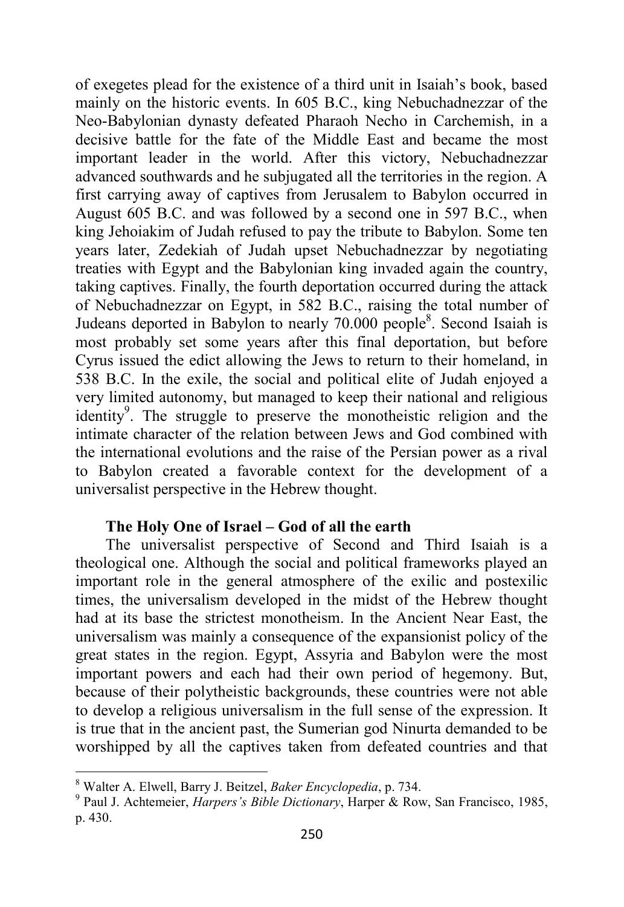of exegetes plead for the existence of a third unit in Isaiah's book, based mainly on the historic events. In 605 B.C., king Nebuchadnezzar of the Neo-Babylonian dynasty defeated Pharaoh Necho in Carchemish, in a decisive battle for the fate of the Middle East and became the most important leader in the world. After this victory, Nebuchadnezzar advanced southwards and he subjugated all the territories in the region. A first carrying away of captives from Jerusalem to Babylon occurred in August 605 B.C. and was followed by a second one in 597 B.C., when king Jehoiakim of Judah refused to pay the tribute to Babylon. Some ten years later, Zedekiah of Judah upset Nebuchadnezzar by negotiating treaties with Egypt and the Babylonian king invaded again the country, taking captives. Finally, the fourth deportation occurred during the attack of Nebuchadnezzar on Egypt, in 582 B.C., raising the total number of Judeans deported in Babylon to nearly 70.000 people<sup>8</sup>. Second Isaiah is most probably set some years after this final deportation, but before Cyrus issued the edict allowing the Jews to return to their homeland, in 538 B.C. In the exile, the social and political elite of Judah enjoyed a very limited autonomy, but managed to keep their national and religious identity<sup>9</sup>. The struggle to preserve the monotheistic religion and the intimate character of the relation between Jews and God combined with the international evolutions and the raise of the Persian power as a rival to Babylon created a favorable context for the development of a universalist perspective in the Hebrew thought.

#### **The Holy One of Israel – God of all the earth**

The universalist perspective of Second and Third Isaiah is a theological one. Although the social and political frameworks played an important role in the general atmosphere of the exilic and postexilic times, the universalism developed in the midst of the Hebrew thought had at its base the strictest monotheism. In the Ancient Near East, the universalism was mainly a consequence of the expansionist policy of the great states in the region. Egypt, Assyria and Babylon were the most important powers and each had their own period of hegemony. But, because of their polytheistic backgrounds, these countries were not able to develop a religious universalism in the full sense of the expression. It is true that in the ancient past, the Sumerian god Ninurta demanded to be worshipped by all the captives taken from defeated countries and that

l

<sup>8</sup> Walter A. Elwell, Barry J. Beitzel, *Baker Encyclopedia*, p. 734.

<sup>9</sup> Paul J. Achtemeier, *Harpers's Bible Dictionary*, Harper & Row, San Francisco, 1985, p. 430.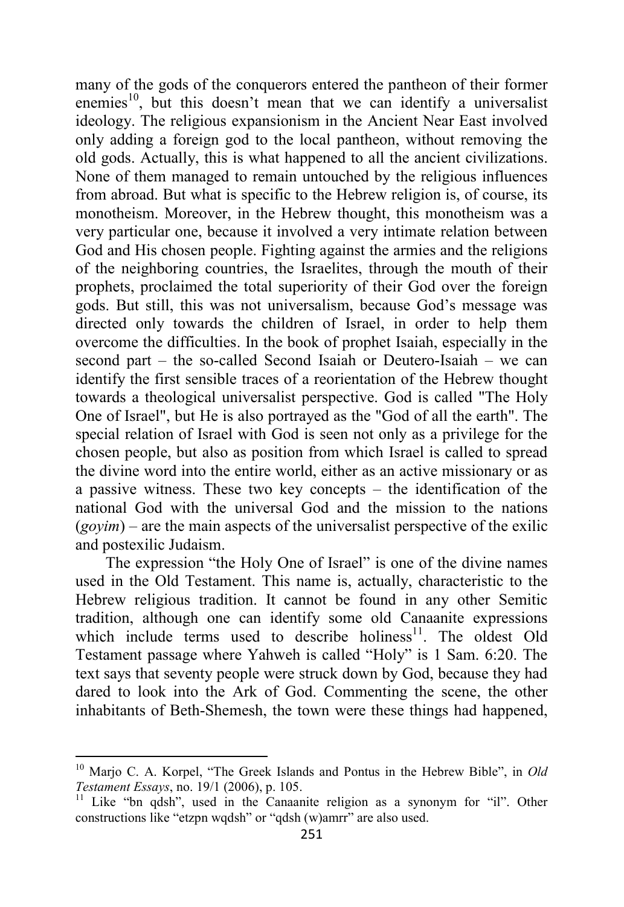many of the gods of the conquerors entered the pantheon of their former enemies<sup>10</sup>, but this doesn't mean that we can identify a universalist ideology. The religious expansionism in the Ancient Near East involved only adding a foreign god to the local pantheon, without removing the old gods. Actually, this is what happened to all the ancient civilizations. None of them managed to remain untouched by the religious influences from abroad. But what is specific to the Hebrew religion is, of course, its monotheism. Moreover, in the Hebrew thought, this monotheism was a very particular one, because it involved a very intimate relation between God and His chosen people. Fighting against the armies and the religions of the neighboring countries, the Israelites, through the mouth of their prophets, proclaimed the total superiority of their God over the foreign gods. But still, this was not universalism, because God's message was directed only towards the children of Israel, in order to help them overcome the difficulties. In the book of prophet Isaiah, especially in the second part – the so-called Second Isaiah or Deutero-Isaiah – we can identify the first sensible traces of a reorientation of the Hebrew thought towards a theological universalist perspective. God is called "The Holy One of Israel", but He is also portrayed as the "God of all the earth". The special relation of Israel with God is seen not only as a privilege for the chosen people, but also as position from which Israel is called to spread the divine word into the entire world, either as an active missionary or as a passive witness. These two key concepts – the identification of the national God with the universal God and the mission to the nations (*goyim*) – are the main aspects of the universalist perspective of the exilic and postexilic Judaism.

The expression "the Holy One of Israel" is one of the divine names used in the Old Testament. This name is, actually, characteristic to the Hebrew religious tradition. It cannot be found in any other Semitic tradition, although one can identify some old Canaanite expressions which include terms used to describe holiness $11$ . The oldest Old Testament passage where Yahweh is called "Holy" is 1 Sam. 6:20. The text says that seventy people were struck down by God, because they had dared to look into the Ark of God. Commenting the scene, the other inhabitants of Beth-Shemesh, the town were these things had happened,

l

<sup>10</sup> Marjo C. A. Korpel, "The Greek Islands and Pontus in the Hebrew Bible", in *Old Testament Essays*, no. 19/1 (2006), p. 105.

<sup>&</sup>lt;sup>11</sup> Like "bn qdsh", used in the Canaanite religion as a synonym for "il". Other constructions like "etzpn wqdsh" or "qdsh (w)amrr" are also used.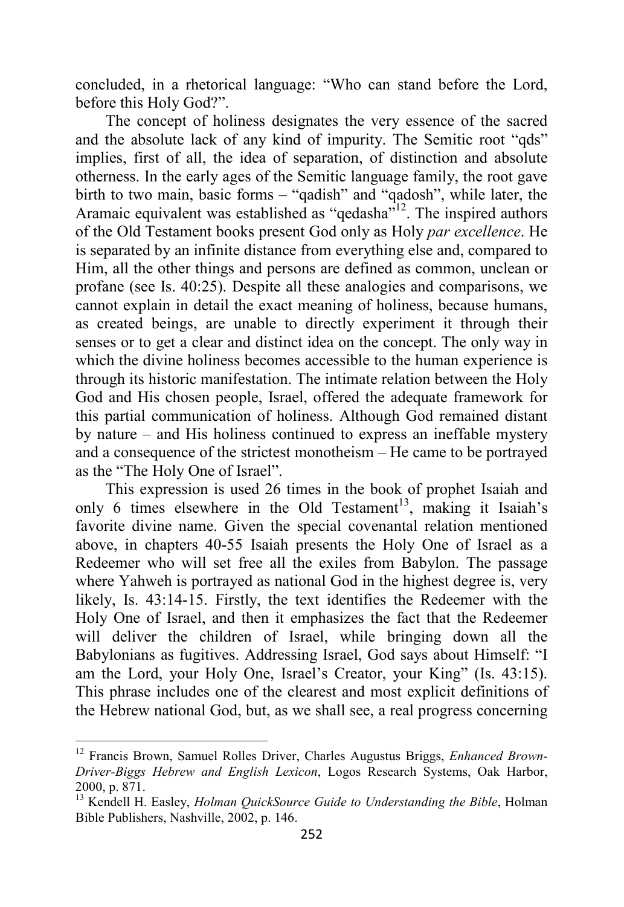concluded, in a rhetorical language: "Who can stand before the Lord, before this Holy God?".

The concept of holiness designates the very essence of the sacred and the absolute lack of any kind of impurity. The Semitic root "qds" implies, first of all, the idea of separation, of distinction and absolute otherness. In the early ages of the Semitic language family, the root gave birth to two main, basic forms – "qadish" and "qadosh", while later, the Aramaic equivalent was established as "qedasha"<sup>12</sup>. The inspired authors of the Old Testament books present God only as Holy *par excellence*. He is separated by an infinite distance from everything else and, compared to Him, all the other things and persons are defined as common, unclean or profane (see Is. 40:25). Despite all these analogies and comparisons, we cannot explain in detail the exact meaning of holiness, because humans, as created beings, are unable to directly experiment it through their senses or to get a clear and distinct idea on the concept. The only way in which the divine holiness becomes accessible to the human experience is through its historic manifestation. The intimate relation between the Holy God and His chosen people, Israel, offered the adequate framework for this partial communication of holiness. Although God remained distant by nature – and His holiness continued to express an ineffable mystery and a consequence of the strictest monotheism – He came to be portrayed as the "The Holy One of Israel".

This expression is used 26 times in the book of prophet Isaiah and only 6 times elsewhere in the Old Testament<sup>13</sup>, making it Isaiah's favorite divine name. Given the special covenantal relation mentioned above, in chapters 40-55 Isaiah presents the Holy One of Israel as a Redeemer who will set free all the exiles from Babylon. The passage where Yahweh is portrayed as national God in the highest degree is, very likely, Is. 43:14-15. Firstly, the text identifies the Redeemer with the Holy One of Israel, and then it emphasizes the fact that the Redeemer will deliver the children of Israel, while bringing down all the Babylonians as fugitives. Addressing Israel, God says about Himself: "I am the Lord, your Holy One, Israel's Creator, your King" (Is. 43:15). This phrase includes one of the clearest and most explicit definitions of the Hebrew national God, but, as we shall see, a real progress concerning

<sup>12</sup> Francis Brown, Samuel Rolles Driver, Charles Augustus Briggs, *Enhanced Brown-Driver-Biggs Hebrew and English Lexicon*, Logos Research Systems, Oak Harbor, 2000, p. 871.

<sup>&</sup>lt;sup>13</sup> Kendell H. Easley, *Holman QuickSource Guide to Understanding the Bible*, Holman Bible Publishers, Nashville, 2002, p. 146.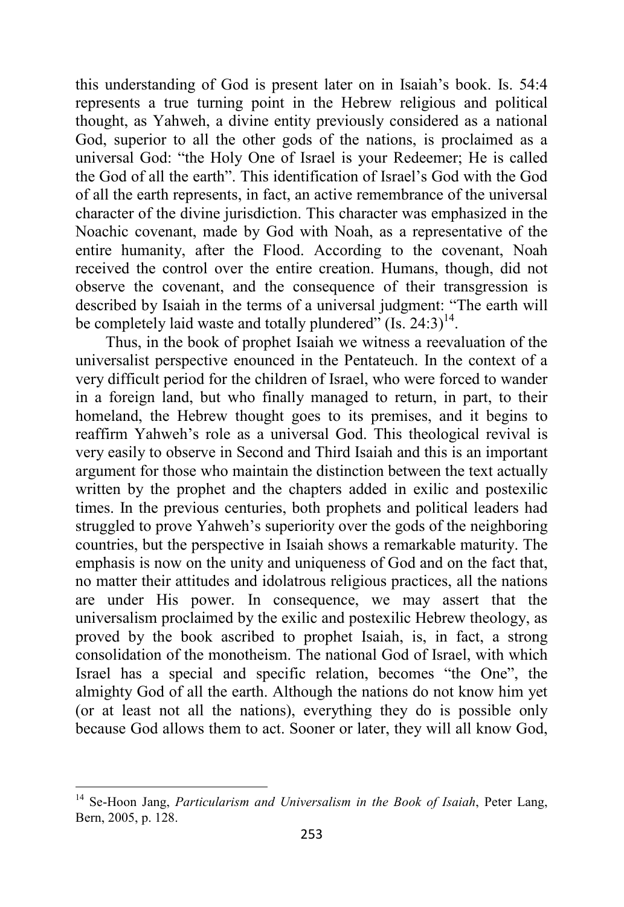this understanding of God is present later on in Isaiah's book. Is. 54:4 represents a true turning point in the Hebrew religious and political thought, as Yahweh, a divine entity previously considered as a national God, superior to all the other gods of the nations, is proclaimed as a universal God: "the Holy One of Israel is your Redeemer; He is called the God of all the earth". This identification of Israel's God with the God of all the earth represents, in fact, an active remembrance of the universal character of the divine jurisdiction. This character was emphasized in the Noachic covenant, made by God with Noah, as a representative of the entire humanity, after the Flood. According to the covenant, Noah received the control over the entire creation. Humans, though, did not observe the covenant, and the consequence of their transgression is described by Isaiah in the terms of a universal judgment: "The earth will be completely laid waste and totally plundered"  $(Is. 24:3)$ <sup>14</sup>.

Thus, in the book of prophet Isaiah we witness a reevaluation of the universalist perspective enounced in the Pentateuch. In the context of a very difficult period for the children of Israel, who were forced to wander in a foreign land, but who finally managed to return, in part, to their homeland, the Hebrew thought goes to its premises, and it begins to reaffirm Yahweh's role as a universal God. This theological revival is very easily to observe in Second and Third Isaiah and this is an important argument for those who maintain the distinction between the text actually written by the prophet and the chapters added in exilic and postexilic times. In the previous centuries, both prophets and political leaders had struggled to prove Yahweh's superiority over the gods of the neighboring countries, but the perspective in Isaiah shows a remarkable maturity. The emphasis is now on the unity and uniqueness of God and on the fact that, no matter their attitudes and idolatrous religious practices, all the nations are under His power. In consequence, we may assert that the universalism proclaimed by the exilic and postexilic Hebrew theology, as proved by the book ascribed to prophet Isaiah, is, in fact, a strong consolidation of the monotheism. The national God of Israel, with which Israel has a special and specific relation, becomes "the One", the almighty God of all the earth. Although the nations do not know him yet (or at least not all the nations), everything they do is possible only because God allows them to act. Sooner or later, they will all know God,

<sup>14</sup> Se-Hoon Jang, *Particularism and Universalism in the Book of Isaiah*, Peter Lang, Bern, 2005, p. 128.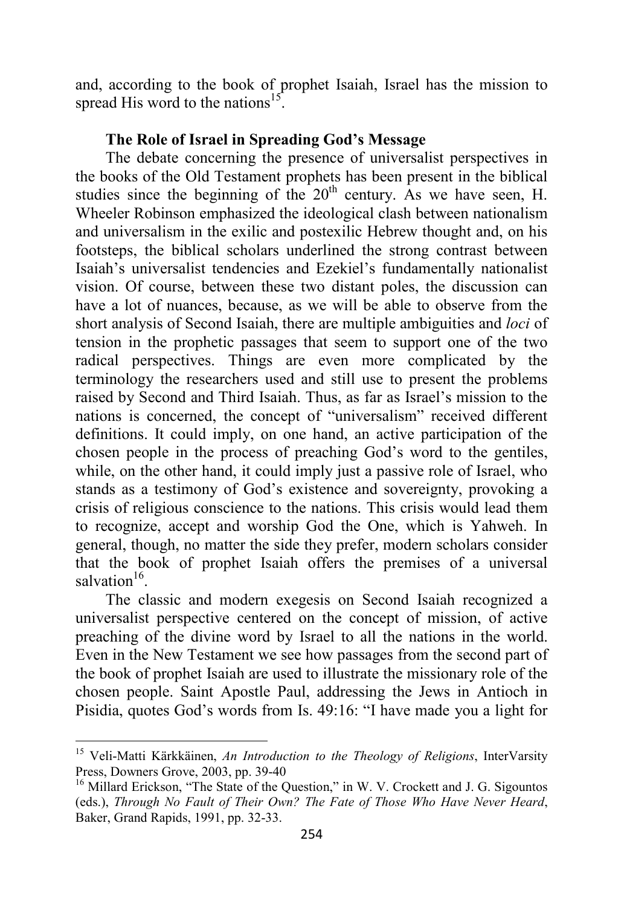and, according to the book of prophet Isaiah, Israel has the mission to spread His word to the nations<sup>15</sup>.

#### **The Role of Israel in Spreading God's Message**

The debate concerning the presence of universalist perspectives in the books of the Old Testament prophets has been present in the biblical studies since the beginning of the  $20<sup>th</sup>$  century. As we have seen, H. Wheeler Robinson emphasized the ideological clash between nationalism and universalism in the exilic and postexilic Hebrew thought and, on his footsteps, the biblical scholars underlined the strong contrast between Isaiah's universalist tendencies and Ezekiel's fundamentally nationalist vision. Of course, between these two distant poles, the discussion can have a lot of nuances, because, as we will be able to observe from the short analysis of Second Isaiah, there are multiple ambiguities and *loci* of tension in the prophetic passages that seem to support one of the two radical perspectives. Things are even more complicated by the terminology the researchers used and still use to present the problems raised by Second and Third Isaiah. Thus, as far as Israel's mission to the nations is concerned, the concept of "universalism" received different definitions. It could imply, on one hand, an active participation of the chosen people in the process of preaching God's word to the gentiles, while, on the other hand, it could imply just a passive role of Israel, who stands as a testimony of God's existence and sovereignty, provoking a crisis of religious conscience to the nations. This crisis would lead them to recognize, accept and worship God the One, which is Yahweh. In general, though, no matter the side they prefer, modern scholars consider that the book of prophet Isaiah offers the premises of a universal salvation<sup>16</sup>.

The classic and modern exegesis on Second Isaiah recognized a universalist perspective centered on the concept of mission, of active preaching of the divine word by Israel to all the nations in the world. Even in the New Testament we see how passages from the second part of the book of prophet Isaiah are used to illustrate the missionary role of the chosen people. Saint Apostle Paul, addressing the Jews in Antioch in Pisidia, quotes God's words from Is. 49:16: "I have made you a light for

<sup>15</sup> Veli-Matti Kärkkäinen, *An Introduction to the Theology of Religions*, InterVarsity Press, Downers Grove, 2003, pp. 39-40

<sup>&</sup>lt;sup>16</sup> Millard Erickson, "The State of the Question," in W. V. Crockett and J. G. Sigountos (eds.), *Through No Fault of Their Own? The Fate of Those Who Have Never Heard*, Baker, Grand Rapids, 1991, pp. 32-33.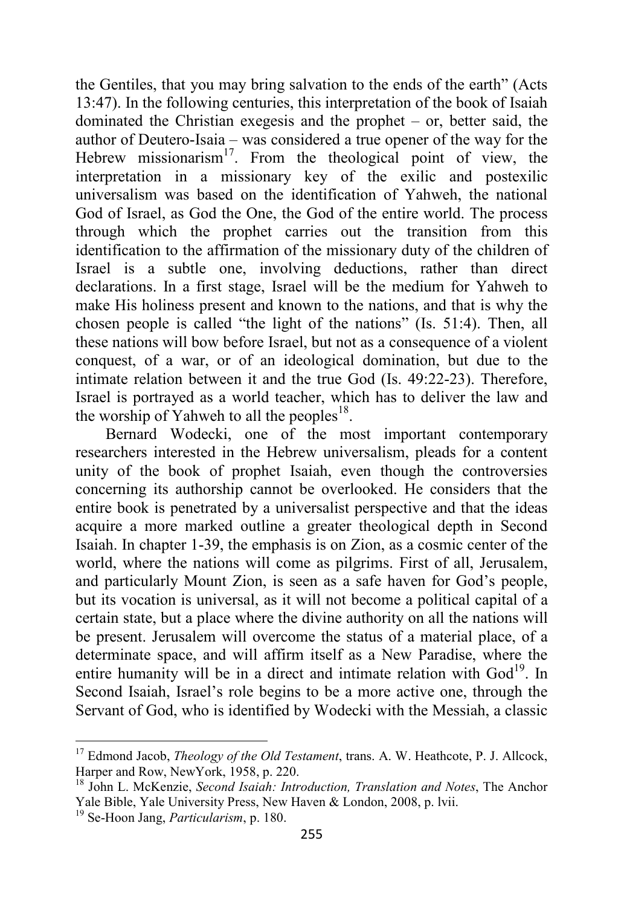the Gentiles, that you may bring salvation to the ends of the earth" (Acts 13:47). In the following centuries, this interpretation of the book of Isaiah dominated the Christian exegesis and the prophet – or, better said, the author of Deutero-Isaia – was considered a true opener of the way for the Hebrew missionarism<sup>17</sup>. From the theological point of view, the interpretation in a missionary key of the exilic and postexilic universalism was based on the identification of Yahweh, the national God of Israel, as God the One, the God of the entire world. The process through which the prophet carries out the transition from this identification to the affirmation of the missionary duty of the children of Israel is a subtle one, involving deductions, rather than direct declarations. In a first stage, Israel will be the medium for Yahweh to make His holiness present and known to the nations, and that is why the chosen people is called "the light of the nations" (Is. 51:4). Then, all these nations will bow before Israel, but not as a consequence of a violent conquest, of a war, or of an ideological domination, but due to the intimate relation between it and the true God (Is. 49:22-23). Therefore, Israel is portrayed as a world teacher, which has to deliver the law and the worship of Yahweh to all the peoples<sup>18</sup>.

Bernard Wodecki, one of the most important contemporary researchers interested in the Hebrew universalism, pleads for a content unity of the book of prophet Isaiah, even though the controversies concerning its authorship cannot be overlooked. He considers that the entire book is penetrated by a universalist perspective and that the ideas acquire a more marked outline a greater theological depth in Second Isaiah. In chapter 1-39, the emphasis is on Zion, as a cosmic center of the world, where the nations will come as pilgrims. First of all, Jerusalem, and particularly Mount Zion, is seen as a safe haven for God's people, but its vocation is universal, as it will not become a political capital of a certain state, but a place where the divine authority on all the nations will be present. Jerusalem will overcome the status of a material place, of a determinate space, and will affirm itself as a New Paradise, where the entire humanity will be in a direct and intimate relation with God<sup>19</sup>. In Second Isaiah, Israel's role begins to be a more active one, through the Servant of God, who is identified by Wodecki with the Messiah, a classic

<sup>17</sup> Edmond Jacob, *Theology of the Old Testament*, trans. A. W. Heathcote, P. J. Allcock, Harper and Row, NewYork, 1958, p. 220.

<sup>18</sup> John L. McKenzie, *Second Isaiah: Introduction, Translation and Notes*, The Anchor Yale Bible, Yale University Press, New Haven & London, 2008, p. lvii.

<sup>19</sup> Se-Hoon Jang, *Particularism*, p. 180.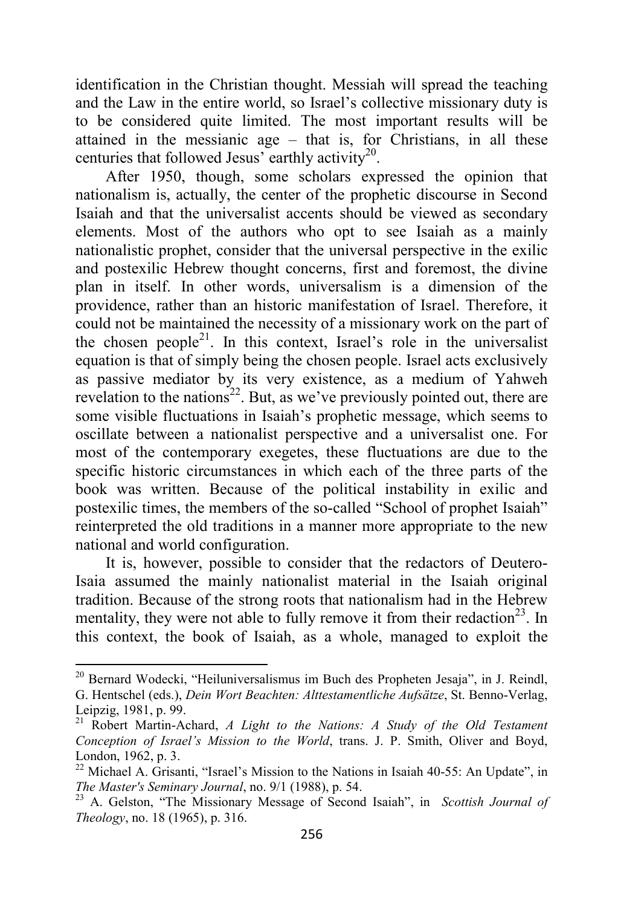identification in the Christian thought. Messiah will spread the teaching and the Law in the entire world, so Israel's collective missionary duty is to be considered quite limited. The most important results will be attained in the messianic age – that is, for Christians, in all these centuries that followed Jesus' earthly activity<sup>20</sup>.

After 1950, though, some scholars expressed the opinion that nationalism is, actually, the center of the prophetic discourse in Second Isaiah and that the universalist accents should be viewed as secondary elements. Most of the authors who opt to see Isaiah as a mainly nationalistic prophet, consider that the universal perspective in the exilic and postexilic Hebrew thought concerns, first and foremost, the divine plan in itself. In other words, universalism is a dimension of the providence, rather than an historic manifestation of Israel. Therefore, it could not be maintained the necessity of a missionary work on the part of the chosen people<sup>21</sup>. In this context, Israel's role in the universalist equation is that of simply being the chosen people. Israel acts exclusively as passive mediator by its very existence, as a medium of Yahweh revelation to the nations<sup>22</sup>. But, as we've previously pointed out, there are some visible fluctuations in Isaiah's prophetic message, which seems to oscillate between a nationalist perspective and a universalist one. For most of the contemporary exegetes, these fluctuations are due to the specific historic circumstances in which each of the three parts of the book was written. Because of the political instability in exilic and postexilic times, the members of the so-called "School of prophet Isaiah" reinterpreted the old traditions in a manner more appropriate to the new national and world configuration.

It is, however, possible to consider that the redactors of Deutero-Isaia assumed the mainly nationalist material in the Isaiah original tradition. Because of the strong roots that nationalism had in the Hebrew mentality, they were not able to fully remove it from their redaction<sup>23</sup>. In this context, the book of Isaiah, as a whole, managed to exploit the

l

<sup>&</sup>lt;sup>20</sup> Bernard Wodecki, "Heiluniversalismus im Buch des Propheten Jesaja", in J. Reindl, G. Hentschel (eds.), *Dein Wort Beachten: Alttestamentliche Aufsätze*, St. Benno-Verlag, Leipzig, 1981, p. 99.

<sup>21</sup> Robert Martin-Achard, *A Light to the Nations: A Study of the Old Testament Conception of Israel's Mission to the World*, trans. J. P. Smith, Oliver and Boyd, London, 1962, p. 3.

<sup>&</sup>lt;sup>22</sup> Michael A. Grisanti, "Israel's Mission to the Nations in Isaiah 40-55: An Update", in *The Master's Seminary Journal*, no. 9/1 (1988), p. 54.

<sup>23</sup> A. Gelston, "The Missionary Message of Second Isaiah", in *Scottish Journal of Theology*, no. 18 (1965), p. 316.